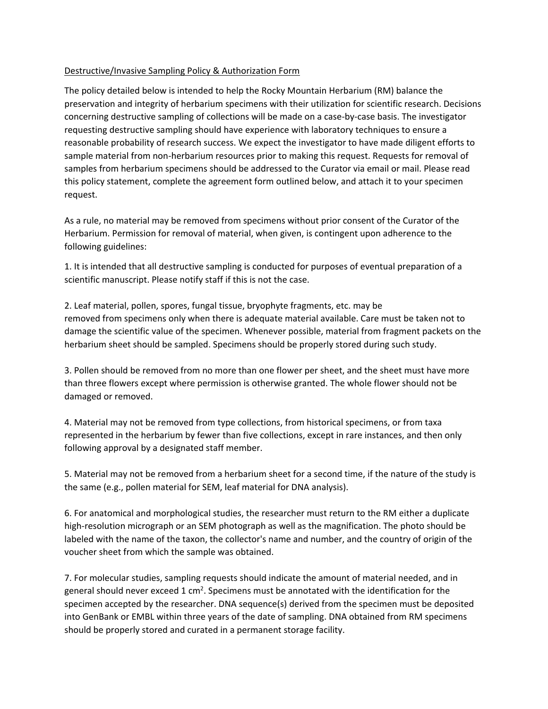## Destructive/Invasive Sampling Policy & Authorization Form

The policy detailed below is intended to help the Rocky Mountain Herbarium (RM) balance the preservation and integrity of herbarium specimens with their utilization for scientific research. Decisions concerning destructive sampling of collections will be made on a case-by-case basis. The investigator requesting destructive sampling should have experience with laboratory techniques to ensure a reasonable probability of research success. We expect the investigator to have made diligent efforts to sample material from non-herbarium resources prior to making this request. Requests for removal of samples from herbarium specimens should be addressed to the Curator via email or mail. Please read this policy statement, complete the agreement form outlined below, and attach it to your specimen request.

As a rule, no material may be removed from specimens without prior consent of the Curator of the Herbarium. Permission for removal of material, when given, is contingent upon adherence to the following guidelines:

1. It is intended that all destructive sampling is conducted for purposes of eventual preparation of a scientific manuscript. Please notify staff if this is not the case.

2. Leaf material, pollen, spores, fungal tissue, bryophyte fragments, etc. may be removed from specimens only when there is adequate material available. Care must be taken not to damage the scientific value of the specimen. Whenever possible, material from fragment packets on the herbarium sheet should be sampled. Specimens should be properly stored during such study.

3. Pollen should be removed from no more than one flower per sheet, and the sheet must have more than three flowers except where permission is otherwise granted. The whole flower should not be damaged or removed.

4. Material may not be removed from type collections, from historical specimens, or from taxa represented in the herbarium by fewer than five collections, except in rare instances, and then only following approval by a designated staff member.

5. Material may not be removed from a herbarium sheet for a second time, if the nature of the study is the same (e.g., pollen material for SEM, leaf material for DNA analysis).

6. For anatomical and morphological studies, the researcher must return to the RM either a duplicate high-resolution micrograph or an SEM photograph as well as the magnification. The photo should be labeled with the name of the taxon, the collector's name and number, and the country of origin of the voucher sheet from which the sample was obtained.

7. For molecular studies, sampling requests should indicate the amount of material needed, and in general should never exceed 1 cm<sup>2</sup>. Specimens must be annotated with the identification for the specimen accepted by the researcher. DNA sequence(s) derived from the specimen must be deposited into GenBank or EMBL within three years of the date of sampling. DNA obtained from RM specimens should be properly stored and curated in a permanent storage facility.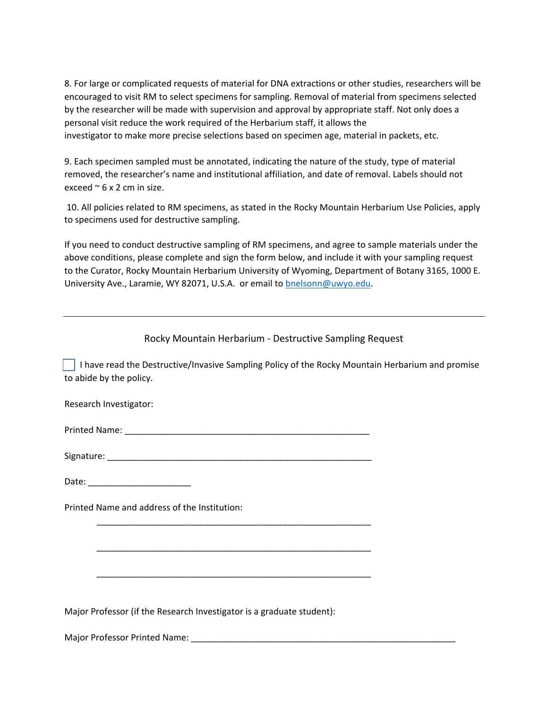8. For large or complicated requests of material for DNA extractions or other studies, researchers will be encouraged to visit RM to select specimens for sampling. Removal of material from specimens selected by the researcher will be made with supervision and approval by appropriate staff. Not only does a personal visit reduce the work required of the Herbarium staff, it allows the investigator to make more precise selections based on specimen age, material in packets, etc.

9. Each specimen sampled must be annotated, indicating the nature of the study, type of material removed, the researcher's name and institutional affiliation, and date of removal. Labels should not exceed  $\approx$  6 x 2 cm in size.

10. All policies related to RM specimens, as stated in the Rocky Mountain Herbarium Use Policies, apply to specimens used for destructive sampling.

If you need to conduct destructive sampling of RM specimens, and agree to sample materials under the above conditions, please complete and sign the form below, and include it with your sampling request to the Curator, Rocky Mountain Herbarium University of Wyoming, Department of Botany 3165, 1000 E. University Ave., Laramie, WY 82071, U.S.A. or email to **bnelsonn@uwyo.edu**.

Rocky Mountain Herbarium - Destructive Sampling Request

 I have read the Destructive/Invasive Sampling Policy of the Rocky Mountain Herbarium and promise to abide by the policy.

Research Investigator:

Printed Name: \_\_\_\_\_\_\_\_\_\_\_\_\_\_\_\_\_\_\_\_\_\_\_\_\_\_\_\_\_\_\_\_\_\_\_\_\_\_\_\_\_\_\_\_\_\_\_\_\_\_

Signature: \_\_\_\_\_\_\_\_\_\_\_\_\_\_\_\_\_\_\_\_\_\_\_\_\_\_\_\_\_\_\_\_\_\_\_\_\_\_\_\_\_\_\_\_\_\_\_\_\_\_\_\_\_\_

\_\_\_\_\_\_\_\_\_\_\_\_\_\_\_\_\_\_\_\_\_\_\_\_\_\_\_\_\_\_\_\_\_\_\_\_\_\_\_\_\_\_\_\_\_\_\_\_\_\_\_\_\_\_\_\_

\_\_\_\_\_\_\_\_\_\_\_\_\_\_\_\_\_\_\_\_\_\_\_\_\_\_\_\_\_\_\_\_\_\_\_\_\_\_\_\_\_\_\_\_\_\_\_\_\_\_\_\_\_\_\_\_

\_\_\_\_\_\_\_\_\_\_\_\_\_\_\_\_\_\_\_\_\_\_\_\_\_\_\_\_\_\_\_\_\_\_\_\_\_\_\_\_\_\_\_\_\_\_\_\_\_\_\_\_\_\_\_\_

Date: \_\_\_\_\_\_\_\_\_\_\_\_\_\_\_\_\_\_\_\_\_

Printed Name and address of the Institution:

Major Professor (if the Research Investigator is a graduate student):

Major Professor Printed Name: \_\_\_\_\_\_\_\_\_\_\_\_\_\_\_\_\_\_\_\_\_\_\_\_\_\_\_\_\_\_\_\_\_\_\_\_\_\_\_\_\_\_\_\_\_\_\_\_\_\_\_\_\_\_